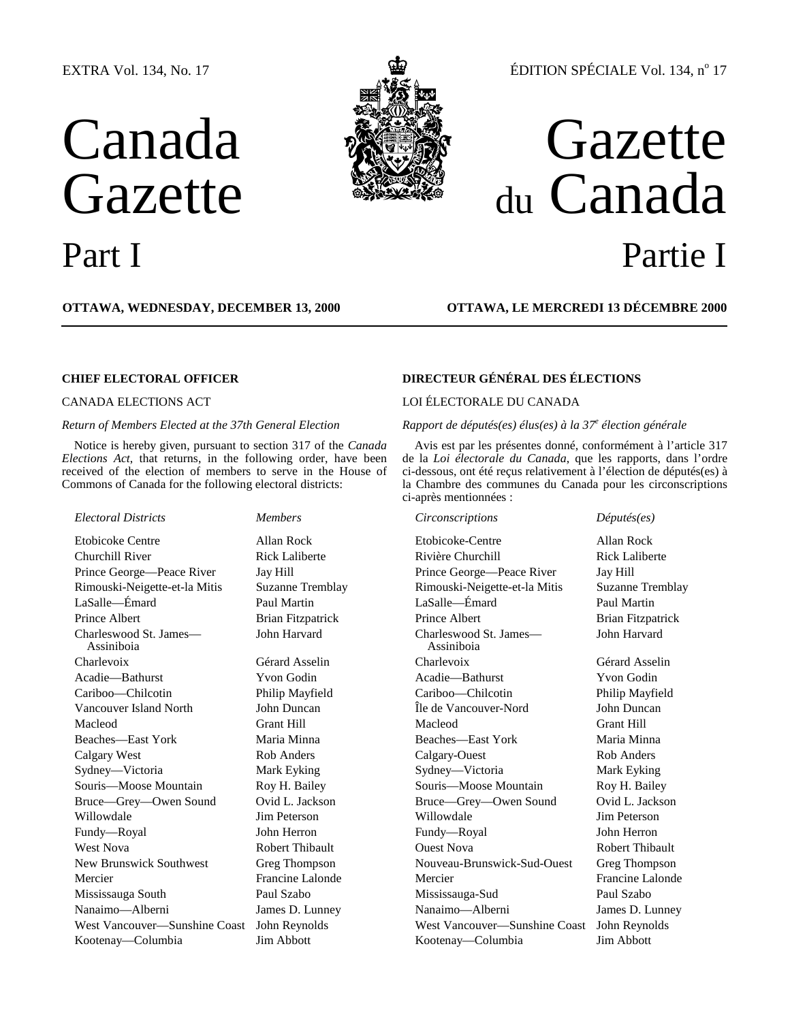## EXTRA Vol. 134, No. 17

# Canada **Gazette**





## ÉDITION SPÉCIALE Vol. 134,  $n^{\circ}$  17

## Gazette du Canada Part I Partie I

**OTTAWA, WEDNESDAY, DECEMBER 13, 2000 OTTAWA, LE MERCREDI 13 DÉCEMBRE 2000**

Notice is hereby given, pursuant to section 317 of the *Canada Elections Act*, that returns, in the following order, have been received of the election of members to serve in the House of Commons of Canada for the following electoral districts:

## *Electoral Districts Members Circonscriptions Députés(es)*

Charleswood St. James— Assiniboia

## **CHIEF ELECTORAL OFFICER DIRECTEUR GÉNÉRAL DES ÉLECTIONS**

## CANADA ELECTIONS ACT LOI ÉLECTORALE DU CANADA

### *Return of Members Elected at the 37th General Election Rapport de députés(es) élus(es) à la 37<sup>e</sup> élection générale*

Avis est par les présentes donné, conformément à l'article 317 de la *Loi électorale du Canada*, que les rapports, dans l'ordre ci-dessous, ont été reçus relativement à l'élection de députés(es) à la Chambre des communes du Canada pour les circonscriptions ci-après mentionnées :

Etobicoke Centre Allan Rock Etobicoke-Centre Allan Rock Churchill River **Rick Laliberte** Rivière Churchill Rick Laliberte Prince George—Peace River Jay Hill Prince George—Peace River Jay Hill Rimouski-Neigette-et-la Mitis Suzanne Tremblay Rimouski-Neigette-et-la Mitis Suzanne Tremblay LaSalle—Émard Paul Martin LaSalle—Émard Paul Martin Prince Albert Brian Fitzpatrick Prince Albert Brian Fitzpatrick John Harvard Charleswood St. James— Assiniboia Charlevoix Gérard Asselin Charlevoix Gérard Asselin Acadie—Bathurst Yvon Godin Acadie—Bathurst Yvon Godin Cariboo—Chilcotin Philip Mayfield Cariboo—Chilcotin Philip Mayfield Vancouver Island North John Duncan Île de Vancouver-Nord John Duncan Macleod Grant Hill Grant Hill Macleod Grant Hill Beaches—East York Maria Minna Beaches—East York Maria Minna Calgary West Rob Anders Calgary-Ouest Rob Anders Sydney—Victoria Mark Eyking Sydney—Victoria Mark Eyking Souris—Moose Mountain Roy H. Bailey Souris—Moose Mountain Roy H. Bailey Bruce—Grey—Owen Sound Ovid L. Jackson Bruce—Grey—Owen Sound Ovid L. Jackson Willowdale Jim Peterson Willowdale Jim Peterson Fundy—Royal John Herron Fundy—Royal John Herron West Nova **Robert Thibault** Cuest Nova Robert Thibault Robert Thibault New Brunswick Southwest Greg Thompson Nouveau-Brunswick-Sud-Ouest Greg Thompson Mercier Francine Lalonde Mercier Francine Lalonde Mississauga South Paul Szabo Mississauga-Sud Paul Szabo Nanaimo—Alberni James D. Lunney Nanaimo—Alberni James D. Lunney West Vancouver—Sunshine Coast John Reynolds West Vancouver—Sunshine Coast John Reynolds Kootenay—Columbia Jim Abbott Kootenay—Columbia Jim Abbott

John Harvard